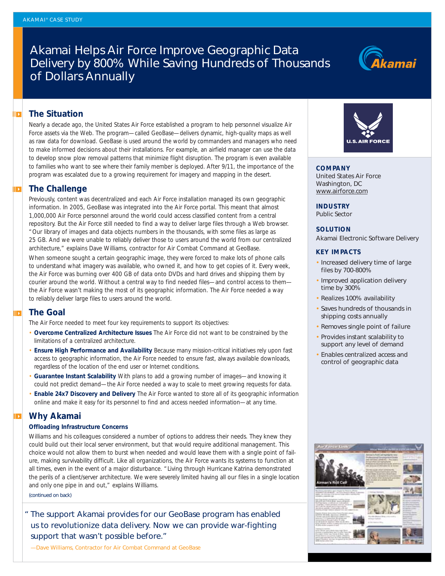# Akamai Helps Air Force Improve Geographic Data Delivery by 800% While Saving Hundreds of Thousands of Dollars Annually



## **The Situation**

Nearly a decade ago, the United States Air Force established a program to help personnel visualize Air Force assets via the Web. The program—called GeoBase—delivers dynamic, high-quality maps as well as raw data for download. GeoBase is used around the world by commanders and managers who need to make informed decisions about their installations. For example, an airfield manager can use the data to develop snow plow removal patterns that minimize flight disruption. The program is even available to families who want to see where their family member is deployed. After 9/11, the importance of the program was escalated due to a growing requirement for imagery and mapping in the desert.

## **The Challenge**

Previously, content was decentralized and each Air Force installation managed its own geographic information. In 2005, GeoBase was integrated into the Air Force portal. This meant that almost 1,000,000 Air Force personnel around the world could access classified content from a central repository. But the Air Force still needed to find a way to deliver large files through a Web browser. "Our library of images and data objects numbers in the thousands, with some files as large as 25 GB. And we were unable to reliably deliver those to users around the world from our centralized architecture," explains Dave Williams, contractor for Air Combat Command at GeoBase.

When someone sought a certain geographic image, they were forced to make lots of phone calls to understand what imagery was available, who owned it, and how to get copies of it. Every week, the Air Force was burning over 400 GB of data onto DVDs and hard drives and shipping them by courier around the world. Without a central way to find needed files—and control access to them the Air Force wasn't making the most of its geographic information. The Air Force needed a way to reliably deliver large files to users around the world.

## **The Goal**

The Air Force needed to meet four key requirements to support its objectives:

- **Overcome Centralized Architecture Issues** The Air Force did not want to be constrained by the limitations of a centralized architecture.
- **Ensure High Performance and Availability** Because many mission-critical initiatives rely upon fast access to geographic information, the Air Force needed to ensure fast, always available downloads, regardless of the location of the end user or Internet conditions.
- **Guarantee Instant Scalability** With plans to add a growing number of images—and knowing it could not predict demand—the Air Force needed a way to scale to meet growing requests for data.
- **Enable 24x7 Discovery and Delivery** The Air Force wanted to store all of its geographic information online and make it easy for its personnel to find and access needed information—at any time.

## **Why Akamai**

#### **Offloading Infrastructure Concerns**

Williams and his colleagues considered a number of options to address their needs. They knew they could build out their local server environment, but that would require additional management. This choice would not allow them to burst when needed and would leave them with a single point of failure, making survivability difficult. Like all organizations, the Air Force wants its systems to function at all times, even in the event of a major disturbance. "Living through Hurricane Katrina demonstrated the perils of a client/server architecture. We were severely limited having all our files in a single location and only one pipe in and out," explains Williams.

*(continued on back)*

*" The support Akamai provides for our GeoBase program has enabled us to revolutionize data delivery. Now we can provide war-fighting support that wasn't possible before."*

*—*Dave Williams, Contractor for Air Combat Command at GeoBase



**COMPANY** United States Air Force Washington, DC www.airforce.com

**INDUSTRY** Public Sector

## **SOLUTION**

Akamai Electronic Software Delivery

## **KEY IMPACTS**

- Increased delivery time of large files by 700-800%
- Improved application delivery time by 300%
- Realizes 100% availability
- Saves hundreds of thousands in shipping costs annually
- Removes single point of failure
- Provides instant scalability to support any level of demand
- Enables centralized access and control of geographic data